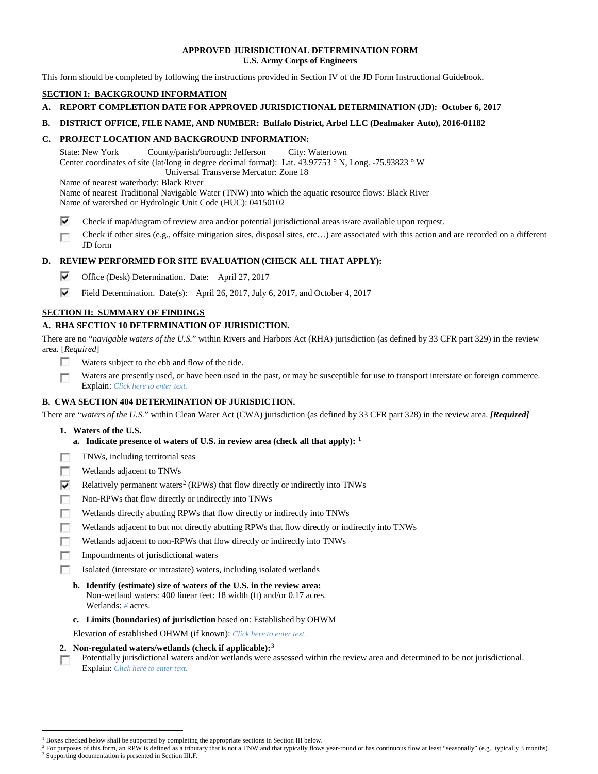## **APPROVED JURISDICTIONAL DETERMINATION FORM U.S. Army Corps of Engineers**

This form should be completed by following the instructions provided in Section IV of the JD Form Instructional Guidebook.

# **SECTION I: BACKGROUND INFORMATION**

- **A. REPORT COMPLETION DATE FOR APPROVED JURISDICTIONAL DETERMINATION (JD): October 6, 2017**
- **B. DISTRICT OFFICE, FILE NAME, AND NUMBER: Buffalo District, Arbel LLC (Dealmaker Auto), 2016-01182**

# **C. PROJECT LOCATION AND BACKGROUND INFORMATION:**

State: New York County/parish/borough: Jefferson City: Watertown Center coordinates of site (lat/long in degree decimal format): Lat. 43.97753 ° N, Long. -75.93823 ° W Universal Transverse Mercator: Zone 18

Name of nearest waterbody: Black River

- Name of nearest Traditional Navigable Water (TNW) into which the aquatic resource flows: Black River Name of watershed or Hydrologic Unit Code (HUC): 04150102
- ⊽ Check if map/diagram of review area and/or potential jurisdictional areas is/are available upon request.
- Check if other sites (e.g., offsite mitigation sites, disposal sites, etc…) are associated with this action and are recorded on a different г JD form

# **D. REVIEW PERFORMED FOR SITE EVALUATION (CHECK ALL THAT APPLY):**

- ⊽ Office (Desk) Determination. Date: April 27, 2017
- ⊽ Field Determination. Date(s): April 26, 2017, July 6, 2017, and October 4, 2017

# **SECTION II: SUMMARY OF FINDINGS**

# **A. RHA SECTION 10 DETERMINATION OF JURISDICTION.**

There are no "*navigable waters of the U.S.*" within Rivers and Harbors Act (RHA) jurisdiction (as defined by 33 CFR part 329) in the review area. [*Required*]

- п Waters subject to the ebb and flow of the tide.
- Waters are presently used, or have been used in the past, or may be susceptible for use to transport interstate or foreign commerce. п Explain: *Click here to enter text.*

# **B. CWA SECTION 404 DETERMINATION OF JURISDICTION.**

There are "*waters of the U.S.*" within Clean Water Act (CWA) jurisdiction (as defined by 33 CFR part 328) in the review area. *[Required]*

- **1. Waters of the U.S.**
	- **a. Indicate presence of waters of U.S. in review area (check all that apply): [1](#page-0-0)**
- 同 TNWs, including territorial seas
- T. Wetlands adjacent to TNWs
- ⊽ Relatively permanent waters<sup>[2](#page-0-1)</sup> (RPWs) that flow directly or indirectly into TNWs
- **In** Non-RPWs that flow directly or indirectly into TNWs
- п Wetlands directly abutting RPWs that flow directly or indirectly into TNWs
- Wetlands adjacent to but not directly abutting RPWs that flow directly or indirectly into TNWs г
- п Wetlands adjacent to non-RPWs that flow directly or indirectly into TNWs
- n. Impoundments of jurisdictional waters
- Isolated (interstate or intrastate) waters, including isolated wetlands п
	- **b. Identify (estimate) size of waters of the U.S. in the review area:** Non-wetland waters: 400 linear feet: 18 width (ft) and/or 0.17 acres. Wetlands: *#* acres.
	- **c. Limits (boundaries) of jurisdiction** based on: Established by OHWM

Elevation of established OHWM (if known): *Click here to enter text.*

- **2. Non-regulated waters/wetlands (check if applicable):[3](#page-0-2)**
- Potentially jurisdictional waters and/or wetlands were assessed within the review area and determined to be not jurisdictional. п Explain: *Click here to enter text.*

<sup>&</sup>lt;sup>1</sup> Boxes checked below shall be supported by completing the appropriate sections in Section III below.

<span id="page-0-2"></span><span id="page-0-1"></span><span id="page-0-0"></span>For purposes of this form, an RPW is defined as a tributary that is not a TNW and that typically flows year-round or has continuous flow at least "seasonally" (e.g., typically 3 months). <sup>3</sup> Supporting documentation is presented in Section III.F.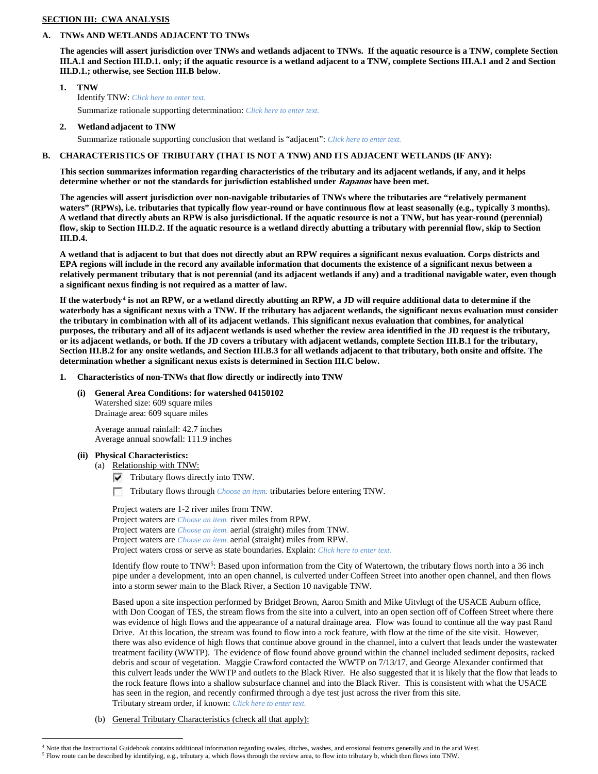## **SECTION III: CWA ANALYSIS**

### **A. TNWs AND WETLANDS ADJACENT TO TNWs**

**The agencies will assert jurisdiction over TNWs and wetlands adjacent to TNWs. If the aquatic resource is a TNW, complete Section III.A.1 and Section III.D.1. only; if the aquatic resource is a wetland adjacent to a TNW, complete Sections III.A.1 and 2 and Section III.D.1.; otherwise, see Section III.B below**.

- **1. TNW**  Identify TNW: *Click here to enter text.* Summarize rationale supporting determination: *Click here to enter text.*
- **2. Wetland adjacent to TNW**

Summarize rationale supporting conclusion that wetland is "adjacent": *Click here to enter text.*

## **B. CHARACTERISTICS OF TRIBUTARY (THAT IS NOT A TNW) AND ITS ADJACENT WETLANDS (IF ANY):**

**This section summarizes information regarding characteristics of the tributary and its adjacent wetlands, if any, and it helps determine whether or not the standards for jurisdiction established under Rapanos have been met.** 

**The agencies will assert jurisdiction over non-navigable tributaries of TNWs where the tributaries are "relatively permanent waters" (RPWs), i.e. tributaries that typically flow year-round or have continuous flow at least seasonally (e.g., typically 3 months). A wetland that directly abuts an RPW is also jurisdictional. If the aquatic resource is not a TNW, but has year-round (perennial) flow, skip to Section III.D.2. If the aquatic resource is a wetland directly abutting a tributary with perennial flow, skip to Section III.D.4.**

**A wetland that is adjacent to but that does not directly abut an RPW requires a significant nexus evaluation. Corps districts and EPA regions will include in the record any available information that documents the existence of a significant nexus between a relatively permanent tributary that is not perennial (and its adjacent wetlands if any) and a traditional navigable water, even though a significant nexus finding is not required as a matter of law.**

**If the waterbody[4](#page-1-0) is not an RPW, or a wetland directly abutting an RPW, a JD will require additional data to determine if the waterbody has a significant nexus with a TNW. If the tributary has adjacent wetlands, the significant nexus evaluation must consider the tributary in combination with all of its adjacent wetlands. This significant nexus evaluation that combines, for analytical purposes, the tributary and all of its adjacent wetlands is used whether the review area identified in the JD request is the tributary, or its adjacent wetlands, or both. If the JD covers a tributary with adjacent wetlands, complete Section III.B.1 for the tributary, Section III.B.2 for any onsite wetlands, and Section III.B.3 for all wetlands adjacent to that tributary, both onsite and offsite. The determination whether a significant nexus exists is determined in Section III.C below.**

- **1. Characteristics of non-TNWs that flow directly or indirectly into TNW**
	- **(i) General Area Conditions: for watershed 04150102** Watershed size: 609 square miles Drainage area: 609 square miles

Average annual rainfall: 42.7 inches Average annual snowfall: 111.9 inches

### **(ii) Physical Characteristics:**

(a) Relationship with TNW:

 $\nabla$  Tributary flows directly into TNW.

**IST** Tributary flows through *Choose an item.* tributaries before entering TNW.

Project waters are 1-2 river miles from TNW. Project waters are *Choose an item.* river miles from RPW. Project waters are *Choose an item.* aerial (straight) miles from TNW. Project waters are *Choose an item.* aerial (straight) miles from RPW. Project waters cross or serve as state boundaries. Explain: *Click here to enter text.*

Identify flow route to  $TNW<sup>5</sup>$ : Based upon information from the City of Watertown, the tributary flows north into a 36 inch pipe under a development, into an open channel, is culverted under Coffeen Street into another open channel, and then flows into a storm sewer main to the Black River, a Section 10 navigable TNW.

Based upon a site inspection performed by Bridget Brown, Aaron Smith and Mike Uitvlugt of the USACE Auburn office, with Don Coogan of TES, the stream flows from the site into a culvert, into an open section off of Coffeen Street where there was evidence of high flows and the appearance of a natural drainage area. Flow was found to continue all the way past Rand Drive. At this location, the stream was found to flow into a rock feature, with flow at the time of the site visit. However, there was also evidence of high flows that continue above ground in the channel, into a culvert that leads under the wastewater treatment facility (WWTP). The evidence of flow found above ground within the channel included sediment deposits, racked debris and scour of vegetation. Maggie Crawford contacted the WWTP on 7/13/17, and George Alexander confirmed that this culvert leads under the WWTP and outlets to the Black River. He also suggested that it is likely that the flow that leads to the rock feature flows into a shallow subsurface channel and into the Black River. This is consistent with what the USACE has seen in the region, and recently confirmed through a dye test just across the river from this site. Tributary stream order, if known: *Click here to enter text.*

(b) General Tributary Characteristics (check all that apply):

 <sup>4</sup> Note that the Instructional Guidebook contains additional information regarding swales, ditches, washes, and erosional features generally and in the arid West.

<span id="page-1-1"></span><span id="page-1-0"></span><sup>5</sup> Flow route can be described by identifying, e.g., tributary a, which flows through the review area, to flow into tributary b, which then flows into TNW.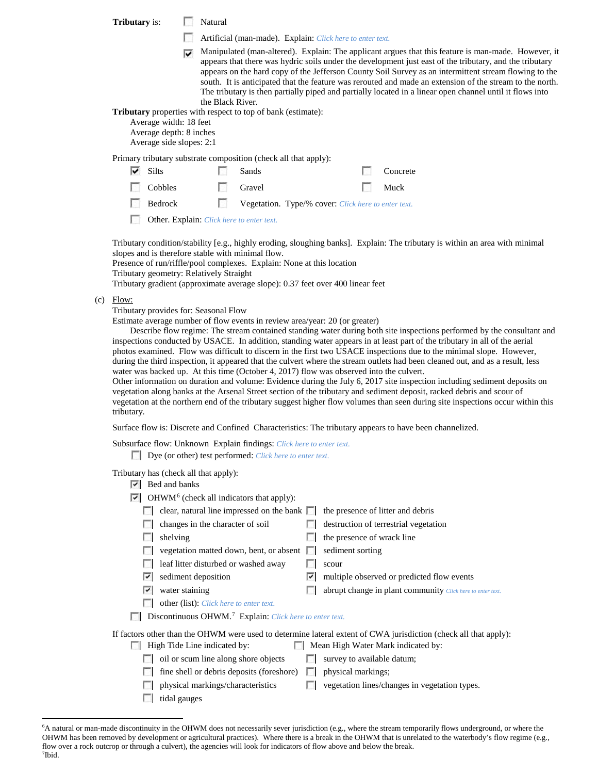**Tributary** is: Natural

- Artificial (man-made). Explain: *Click here to enter text.*
- Manipulated (man-altered). Explain: The applicant argues that this feature is man-made. However, it appears that there was hydric soils under the development just east of the tributary, and the tributary appears on the hard copy of the Jefferson County Soil Survey as an intermittent stream flowing to the south. It is anticipated that the feature was rerouted and made an extension of the stream to the north. The tributary is then partially piped and partially located in a linear open channel until it flows into the Black River.

**Tributary** properties with respect to top of bank (estimate):

Average width: 18 feet

Average depth: 8 inches

Average side slopes: 2:1

Primary tributary substrate composition (check all that apply):

| Silts | Sands | Concrete |
|-------|-------|----------|
|       |       |          |

| Cobbles | Gravel | Muck |
|---------|--------|------|
|         |        |      |

|  | Bedrock |  |  | <b>Vegetation.</b> Type/% cover: Click here to enter text. |  |  |
|--|---------|--|--|------------------------------------------------------------|--|--|
|--|---------|--|--|------------------------------------------------------------|--|--|

Other. Explain: *Click here to enter text.*

Tributary condition/stability [e.g., highly eroding, sloughing banks]. Explain: The tributary is within an area with minimal slopes and is therefore stable with minimal flow.

Presence of run/riffle/pool complexes. Explain: None at this location

Tributary geometry: Relatively Straight

Tributary gradient (approximate average slope): 0.37 feet over 400 linear feet

 $(c)$  Flow:

Tributary provides for: Seasonal Flow

Estimate average number of flow events in review area/year: 20 (or greater)

Describe flow regime: The stream contained standing water during both site inspections performed by the consultant and inspections conducted by USACE. In addition, standing water appears in at least part of the tributary in all of the aerial photos examined. Flow was difficult to discern in the first two USACE inspections due to the minimal slope. However, during the third inspection, it appeared that the culvert where the stream outlets had been cleaned out, and as a result, less water was backed up. At this time (October 4, 2017) flow was observed into the culvert.

Other information on duration and volume: Evidence during the July 6, 2017 site inspection including sediment deposits on vegetation along banks at the Arsenal Street section of the tributary and sediment deposit, racked debris and scour of vegetation at the northern end of the tributary suggest higher flow volumes than seen during site inspections occur within this tributary.

Surface flow is: Discrete and Confined Characteristics: The tributary appears to have been channelized.

Subsurface flow: Unknown Explain findings: *Click here to enter text.*

Dye (or other) test performed: *Click here to enter text.*

Tributary has (check all that apply):

- $|\overline{\mathbf{v}}|$  Bed and banks
- $\triangleright$  OHWM<sup>[6](#page-2-0)</sup> (check all indicators that apply):

|    | clear, natural line impressed on the bank $\Box$                    |            | the presence of litter and debris                                                                                                                      |
|----|---------------------------------------------------------------------|------------|--------------------------------------------------------------------------------------------------------------------------------------------------------|
|    | changes in the character of soil                                    |            | destruction of terrestrial vegetation                                                                                                                  |
|    | shelving                                                            |            | the presence of wrack line                                                                                                                             |
|    | vegetation matted down, bent, or absent                             | <b>I</b> I | sediment sorting                                                                                                                                       |
|    | leaf litter disturbed or washed away                                |            | scour                                                                                                                                                  |
| V. | sediment deposition                                                 | び          | multiple observed or predicted flow events                                                                                                             |
| ⊽  | water staining                                                      |            | abrupt change in plant community Click here to enter text.                                                                                             |
|    | other (list): Click here to enter text.                             |            |                                                                                                                                                        |
|    | Discontinuous OHWM. <sup>7</sup> Explain: Click here to enter text. |            |                                                                                                                                                        |
|    | High Tide Line indicated by:                                        |            | If factors other than the OHWM were used to determine lateral extent of CWA jurisdiction (check all that apply):<br>Mean High Water Mark indicated by: |
|    | . .                                                                 |            |                                                                                                                                                        |
|    | oil or scum line along shore objects                                |            | survey to available datum;                                                                                                                             |
|    | fine shell or debris deposits (foreshore)                           |            | physical markings;                                                                                                                                     |
|    | physical markings/characteristics                                   |            | vegetation lines/changes in vegetation types.                                                                                                          |

tidal gauges

<span id="page-2-1"></span><span id="page-2-0"></span> <sup>6</sup> <sup>6</sup>A natural or man-made discontinuity in the OHWM does not necessarily sever jurisdiction (e.g., where the stream temporarily flows underground, or where the OHWM has been removed by development or agricultural practices). Where there is a break in the OHWM that is unrelated to the waterbody's flow regime (e.g., flow over a rock outcrop or through a culvert), the agencies will look for indicators of flow above and below the break. 7 Ibid.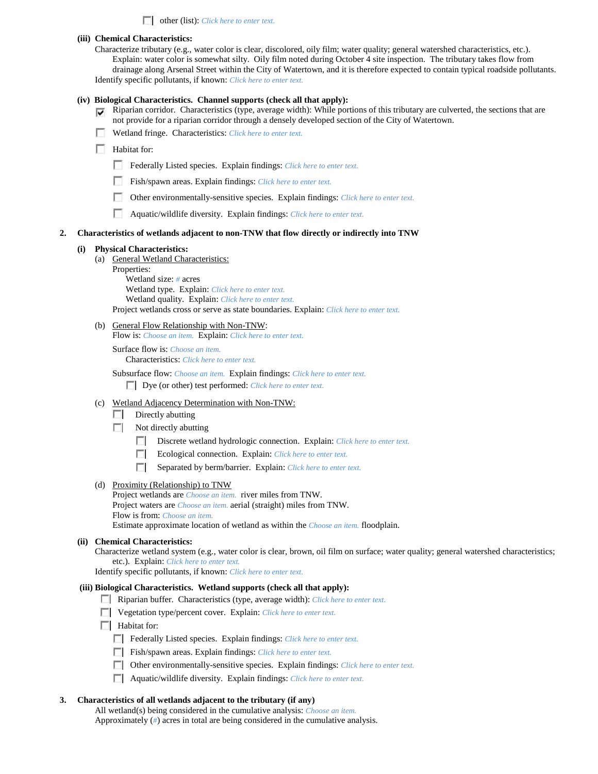other (list): *Click here to enter text.*

#### **(iii) Chemical Characteristics:**

Characterize tributary (e.g., water color is clear, discolored, oily film; water quality; general watershed characteristics, etc.). Explain: water color is somewhat silty. Oily film noted during October 4 site inspection. The tributary takes flow from drainage along Arsenal Street within the City of Watertown, and it is therefore expected to contain typical roadside pollutants. Identify specific pollutants, if known: *Click here to enter text.*

#### **(iv) Biological Characteristics. Channel supports (check all that apply):**

- $\nabla$  Riparian corridor. Characteristics (type, average width): While portions of this tributary are culverted, the sections that are not provide for a riparian corridor through a densely developed section of the City of Watertown.
- Wetland fringe. Characteristics: *Click here to enter text.*
- **Habitat for:** 
	- Federally Listed species. Explain findings: *Click here to enter text*.
	- $\sim$ Fish/spawn areas. Explain findings: *Click here to enter text.*
	- $\sim$ Other environmentally-sensitive species. Explain findings: *Click here to enter text.*
	- $\sim$ Aquatic/wildlife diversity. Explain findings: *Click here to enter text.*

#### **2. Characteristics of wetlands adjacent to non-TNW that flow directly or indirectly into TNW**

#### **(i) Physical Characteristics:**

- (a) General Wetland Characteristics:
	- Properties: Wetland size: *#* acres Wetland type. Explain: *Click here to enter text.* Wetland quality. Explain: *Click here to enter text.* Project wetlands cross or serve as state boundaries. Explain: *Click here to enter text.*
- (b) General Flow Relationship with Non-TNW:

Flow is: *Choose an item.* Explain: *Click here to enter text.*

Surface flow is: *Choose an item.*

Characteristics: *Click here to enter text.*

Subsurface flow: *Choose an item.* Explain findings: *Click here to enter text.* Dye (or other) test performed: *Click here to enter text.*

- (c) Wetland Adjacency Determination with Non-TNW:
	- $\sim$ Directly abutting
	- $\sim$ Not directly abutting
		- Discrete wetland hydrologic connection. Explain: *Click here to enter text.*
		- Ecological connection. Explain: *Click here to enter text.*
		- Separated by berm/barrier. Explain: *Click here to enter text.*
- (d) Proximity (Relationship) to TNW

Project wetlands are *Choose an item.* river miles from TNW. Project waters are *Choose an item.* aerial (straight) miles from TNW.

Flow is from: *Choose an item.*

Estimate approximate location of wetland as within the *Choose an item.* floodplain.

## **(ii) Chemical Characteristics:**

Characterize wetland system (e.g., water color is clear, brown, oil film on surface; water quality; general watershed characteristics; etc.). Explain: *Click here to enter text.*

Identify specific pollutants, if known: *Click here to enter text.*

#### **(iii) Biological Characteristics. Wetland supports (check all that apply):**

- Riparian buffer. Characteristics (type, average width): *Click here to enter text.*
- Vegetation type/percent cover. Explain: *Click here to enter text.*
- **Habitat for:** 
	- Federally Listed species. Explain findings: *Click here to enter text.*
	- Fish/spawn areas. Explain findings: *Click here to enter text.*
	- Other environmentally-sensitive species. Explain findings: *Click here to enter text.*
	- Aquatic/wildlife diversity. Explain findings: *Click here to enter text.*

#### **3. Characteristics of all wetlands adjacent to the tributary (if any)**

All wetland(s) being considered in the cumulative analysis: *Choose an item.* Approximately (*#*) acres in total are being considered in the cumulative analysis.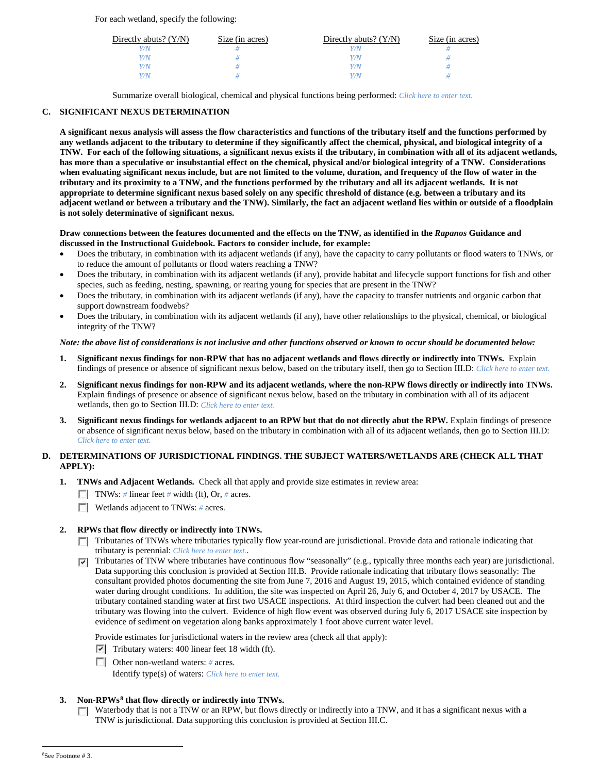For each wetland, specify the following:

| Directly abuts? $(Y/N)$ | Size (in acres) | Directly abuts? $(Y/N)$ | Size (in acres) |
|-------------------------|-----------------|-------------------------|-----------------|
|                         |                 |                         |                 |
| Y/N                     |                 | Y/N                     |                 |
| Y/N                     |                 | Y/N                     |                 |
| V/N                     |                 | 77 N                    |                 |

Summarize overall biological, chemical and physical functions being performed: *Click here to enter text.*

## **C. SIGNIFICANT NEXUS DETERMINATION**

**A significant nexus analysis will assess the flow characteristics and functions of the tributary itself and the functions performed by any wetlands adjacent to the tributary to determine if they significantly affect the chemical, physical, and biological integrity of a TNW. For each of the following situations, a significant nexus exists if the tributary, in combination with all of its adjacent wetlands, has more than a speculative or insubstantial effect on the chemical, physical and/or biological integrity of a TNW. Considerations when evaluating significant nexus include, but are not limited to the volume, duration, and frequency of the flow of water in the tributary and its proximity to a TNW, and the functions performed by the tributary and all its adjacent wetlands. It is not appropriate to determine significant nexus based solely on any specific threshold of distance (e.g. between a tributary and its adjacent wetland or between a tributary and the TNW). Similarly, the fact an adjacent wetland lies within or outside of a floodplain is not solely determinative of significant nexus.** 

### **Draw connections between the features documented and the effects on the TNW, as identified in the** *Rapanos* **Guidance and discussed in the Instructional Guidebook. Factors to consider include, for example:**

- Does the tributary, in combination with its adjacent wetlands (if any), have the capacity to carry pollutants or flood waters to TNWs, or to reduce the amount of pollutants or flood waters reaching a TNW?
- Does the tributary, in combination with its adjacent wetlands (if any), provide habitat and lifecycle support functions for fish and other species, such as feeding, nesting, spawning, or rearing young for species that are present in the TNW?
- Does the tributary, in combination with its adjacent wetlands (if any), have the capacity to transfer nutrients and organic carbon that support downstream foodwebs?
- Does the tributary, in combination with its adjacent wetlands (if any), have other relationships to the physical, chemical, or biological integrity of the TNW?

## *Note: the above list of considerations is not inclusive and other functions observed or known to occur should be documented below:*

- **1. Significant nexus findings for non-RPW that has no adjacent wetlands and flows directly or indirectly into TNWs.** Explain findings of presence or absence of significant nexus below, based on the tributary itself, then go to Section III.D: *Click here to enter text.*
- **2. Significant nexus findings for non-RPW and its adjacent wetlands, where the non-RPW flows directly or indirectly into TNWs.**  Explain findings of presence or absence of significant nexus below, based on the tributary in combination with all of its adjacent wetlands, then go to Section III.D: *Click here to enter text.*
- **3. Significant nexus findings for wetlands adjacent to an RPW but that do not directly abut the RPW.** Explain findings of presence or absence of significant nexus below, based on the tributary in combination with all of its adjacent wetlands, then go to Section III.D: *Click here to enter text.*

## **D. DETERMINATIONS OF JURISDICTIONAL FINDINGS. THE SUBJECT WATERS/WETLANDS ARE (CHECK ALL THAT APPLY):**

- **1. TNWs and Adjacent Wetlands.** Check all that apply and provide size estimates in review area:
	- TNWs: *#* linear feet *#* width (ft), Or, *#* acres.
	- **Wetlands adjacent to TNWs: # acres.**

## **2. RPWs that flow directly or indirectly into TNWs.**

- Tributaries of TNWs where tributaries typically flow year-round are jurisdictional. Provide data and rationale indicating that tributary is perennial: *Click here to enter text.*.
- $\nabla$  Tributaries of TNW where tributaries have continuous flow "seasonally" (e.g., typically three months each year) are jurisdictional. Data supporting this conclusion is provided at Section III.B. Provide rationale indicating that tributary flows seasonally: The consultant provided photos documenting the site from June 7, 2016 and August 19, 2015, which contained evidence of standing water during drought conditions. In addition, the site was inspected on April 26, July 6, and October 4, 2017 by USACE. The tributary contained standing water at first two USACE inspections. At third inspection the culvert had been cleaned out and the tributary was flowing into the culvert. Evidence of high flow event was observed during July 6, 2017 USACE site inspection by evidence of sediment on vegetation along banks approximately 1 foot above current water level.

Provide estimates for jurisdictional waters in the review area (check all that apply):

- $\triangledown$  Tributary waters: 400 linear feet 18 width (ft).
- Other non-wetland waters: *#* acres.

Identify type(s) of waters: *Click here to enter text.*

## <span id="page-4-0"></span>**3. Non-RPWs[8](#page-4-0) that flow directly or indirectly into TNWs.**

 $\Box$  Waterbody that is not a TNW or an RPW, but flows directly or indirectly into a TNW, and it has a significant nexus with a TNW is jurisdictional. Data supporting this conclusion is provided at Section III.C.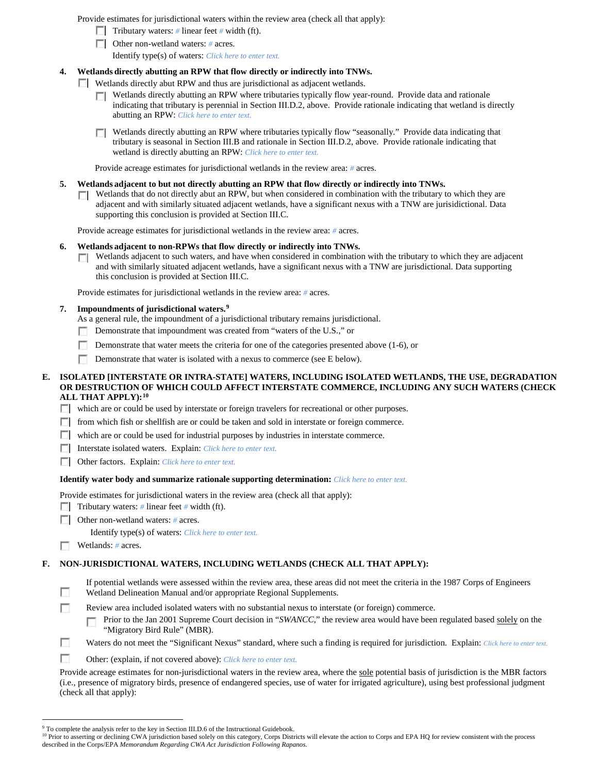Provide estimates for jurisdictional waters within the review area (check all that apply):

- Tributary waters: # linear feet # width (ft).
- Other non-wetland waters: *#* acres.

Identify type(s) of waters: *Click here to enter text.*

## **4. Wetlands directly abutting an RPW that flow directly or indirectly into TNWs.**

**Wetlands directly abut RPW and thus are jurisdictional as adjacent wetlands.** 

- $\Box$  Wetlands directly abutting an RPW where tributaries typically flow year-round. Provide data and rationale indicating that tributary is perennial in Section III.D.2, above. Provide rationale indicating that wetland is directly abutting an RPW: *Click here to enter text.*
- Wetlands directly abutting an RPW where tributaries typically flow "seasonally." Provide data indicating that tributary is seasonal in Section III.B and rationale in Section III.D.2, above. Provide rationale indicating that wetland is directly abutting an RPW: *Click here to enter text.*

Provide acreage estimates for jurisdictional wetlands in the review area: *#* acres.

## **5. Wetlands adjacent to but not directly abutting an RPW that flow directly or indirectly into TNWs.**

 $\Box$  Wetlands that do not directly abut an RPW, but when considered in combination with the tributary to which they are adjacent and with similarly situated adjacent wetlands, have a significant nexus with a TNW are jurisidictional. Data supporting this conclusion is provided at Section III.C.

Provide acreage estimates for jurisdictional wetlands in the review area: *#* acres.

### **6. Wetlands adjacent to non-RPWs that flow directly or indirectly into TNWs.**

Wetlands adjacent to such waters, and have when considered in combination with the tributary to which they are adjacent and with similarly situated adjacent wetlands, have a significant nexus with a TNW are jurisdictional. Data supporting this conclusion is provided at Section III.C.

Provide estimates for jurisdictional wetlands in the review area: *#* acres.

## **7. Impoundments of jurisdictional waters. [9](#page-5-0)**

- As a general rule, the impoundment of a jurisdictional tributary remains jurisdictional.
- Demonstrate that impoundment was created from "waters of the U.S.," or
- Demonstrate that water meets the criteria for one of the categories presented above (1-6), or
- $\overline{\phantom{a}}$ Demonstrate that water is isolated with a nexus to commerce (see E below).

### **E. ISOLATED [INTERSTATE OR INTRA-STATE] WATERS, INCLUDING ISOLATED WETLANDS, THE USE, DEGRADATION OR DESTRUCTION OF WHICH COULD AFFECT INTERSTATE COMMERCE, INCLUDING ANY SUCH WATERS (CHECK ALL THAT APPLY):[10](#page-5-1)**

which are or could be used by interstate or foreign travelers for recreational or other purposes.

- $\Box$  from which fish or shellfish are or could be taken and sold in interstate or foreign commerce.
- which are or could be used for industrial purposes by industries in interstate commerce.
- Interstate isolated waters. Explain: *Click here to enter text.*
- Other factors.Explain: *Click here to enter text.*

### **Identify water body and summarize rationale supporting determination:** *Click here to enter text.*

Provide estimates for jurisdictional waters in the review area (check all that apply):

- Tributary waters: # linear feet # width (ft).
- Other non-wetland waters: # acres.
	- Identify type(s) of waters: *Click here to enter text.*
- n Wetlands: *#* acres.

Ð П

## **F. NON-JURISDICTIONAL WATERS, INCLUDING WETLANDS (CHECK ALL THAT APPLY):**

| If potential wetlands were assessed within the review area, these areas did not meet the criteria in the 1987 Corps of Engineers |
|----------------------------------------------------------------------------------------------------------------------------------|
| Wetland Delineation Manual and/or appropriate Regional Supplements.                                                              |

- Review area included isolated waters with no substantial nexus to interstate (or foreign) commerce.
	- Prior to the Jan 2001 Supreme Court decision in "SWANCC," the review area would have been regulated based solely on the "Migratory Bird Rule" (MBR).
- п Waters do not meet the "Significant Nexus" standard, where such a finding is required for jurisdiction. Explain: *Click here to enter text.*
- m. Other: (explain, if not covered above): *Click here to enter text.*

Provide acreage estimates for non-jurisdictional waters in the review area, where the sole potential basis of jurisdiction is the MBR factors (i.e., presence of migratory birds, presence of endangered species, use of water for irrigated agriculture), using best professional judgment (check all that apply):

<sup>&</sup>lt;sup>9</sup> To complete the analysis refer to the key in Section III.D.6 of the Instructional Guidebook.

<span id="page-5-1"></span><span id="page-5-0"></span><sup>&</sup>lt;sup>10</sup> Prior to asserting or declining CWA jurisdiction based solely on this category, Corps Districts will elevate the action to Corps and EPA HQ for review consistent with the process described in the Corps/EPA *Memorandum Regarding CWA Act Jurisdiction Following Rapanos.*